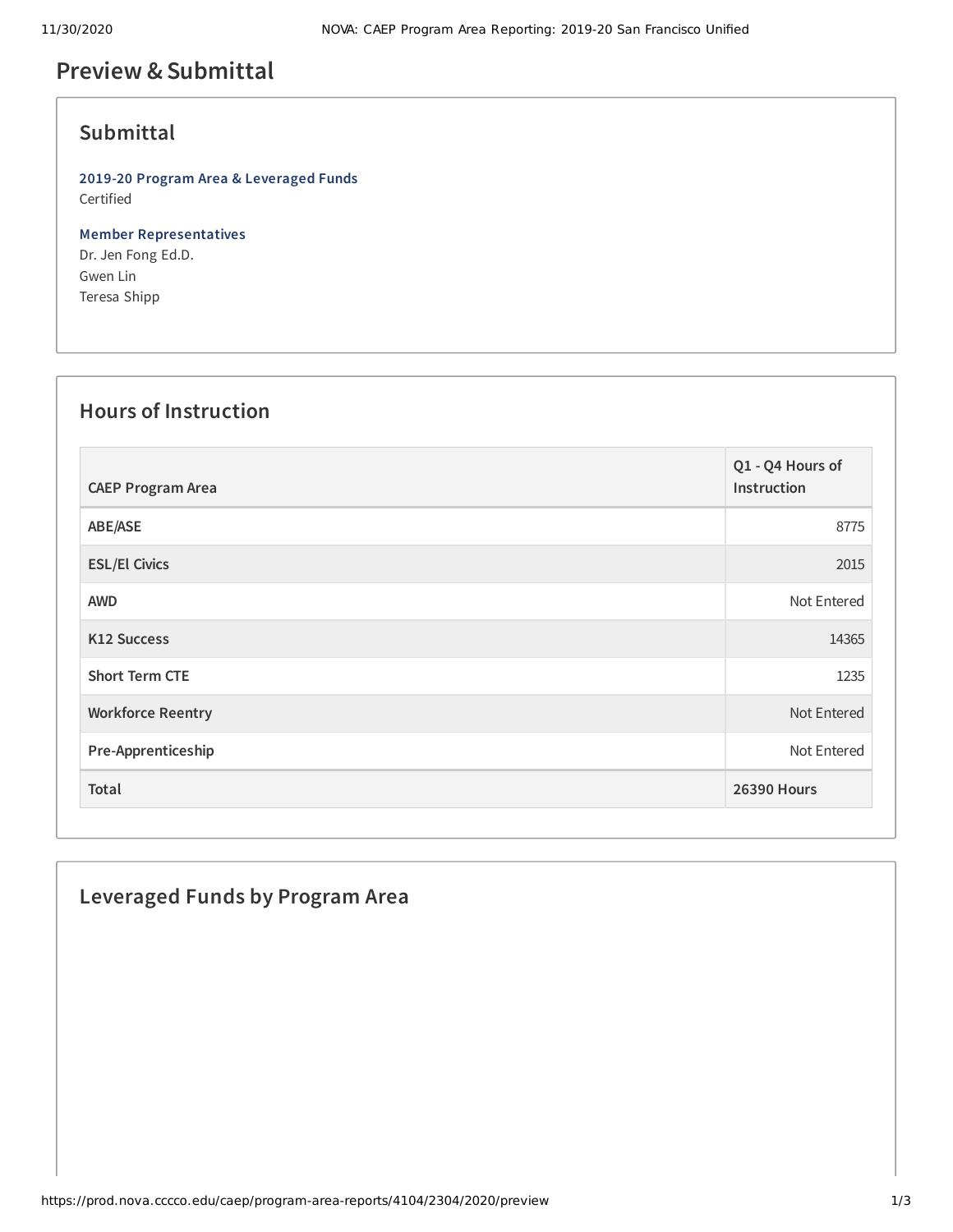# **Preview &Submittal**

#### **Submittal**

**2019-20 Program Area & Leveraged Funds** Certified

**Member Representatives** Dr. Jen Fong Ed.D. Gwen Lin Teresa Shipp

# **Hours of Instruction**

| <b>CAEP Program Area</b> | Q1 - Q4 Hours of<br>Instruction |
|--------------------------|---------------------------------|
| ABE/ASE                  | 8775                            |
| <b>ESL/El Civics</b>     | 2015                            |
| <b>AWD</b>               | Not Entered                     |
| <b>K12 Success</b>       | 14365                           |
| <b>Short Term CTE</b>    | 1235                            |
| <b>Workforce Reentry</b> | Not Entered                     |
| Pre-Apprenticeship       | Not Entered                     |
| Total                    | <b>26390 Hours</b>              |

### **Leveraged Funds by Program Area**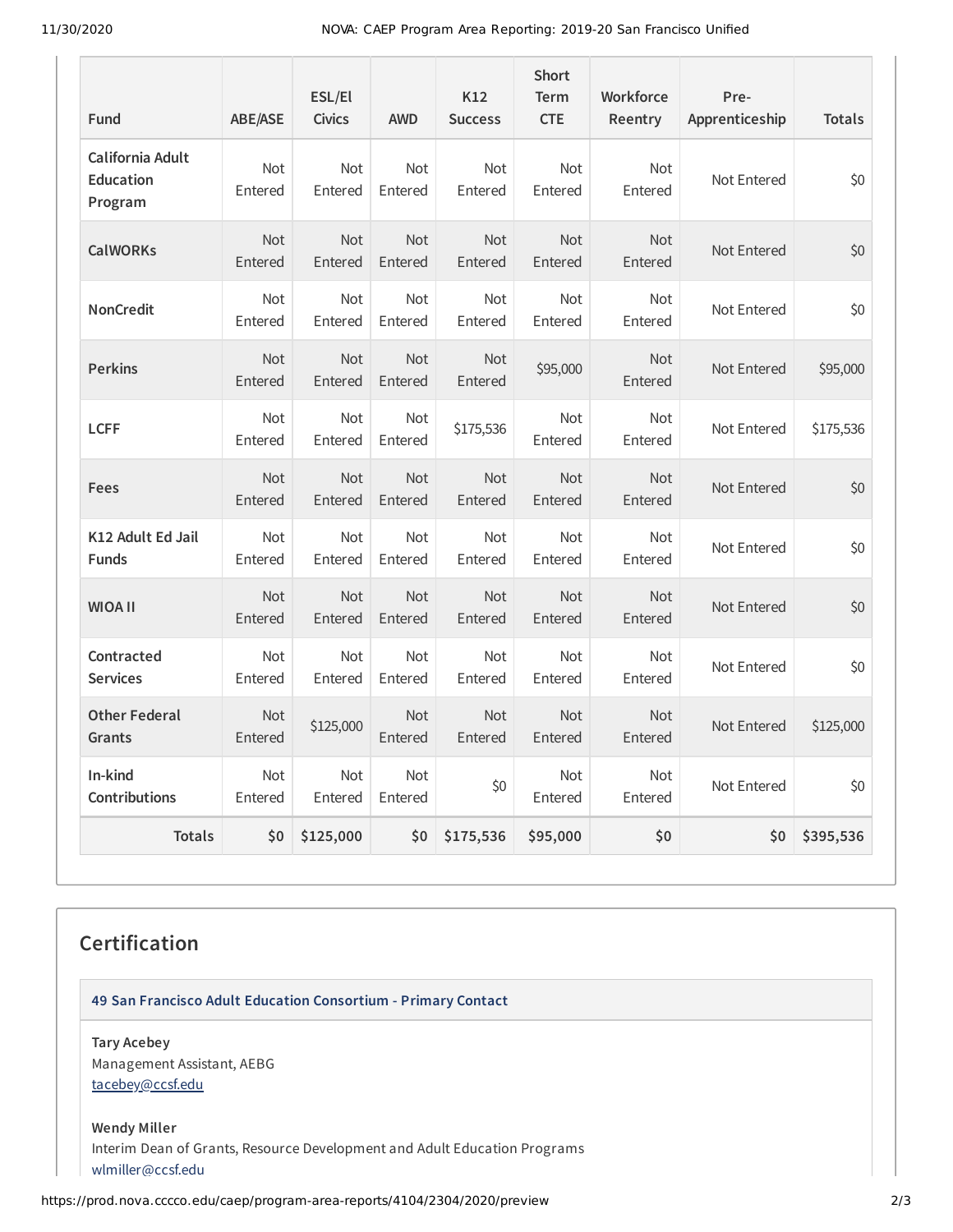11/30/2020 NOVA: CAEP Program Area Reporting: 2019-20 San Francisco Unified

| <b>Fund</b>                              | <b>ABE/ASE</b>        | ESL/El<br><b>Civics</b> | <b>AWD</b>            | K12<br><b>Success</b> | <b>Short</b><br><b>Term</b><br><b>CTE</b> | <b>Workforce</b><br>Reentry | Pre-<br>Apprenticeship | <b>Totals</b> |
|------------------------------------------|-----------------------|-------------------------|-----------------------|-----------------------|-------------------------------------------|-----------------------------|------------------------|---------------|
| California Adult<br>Education<br>Program | Not<br>Entered        | Not<br>Entered          | Not<br>Entered        | Not<br>Entered        | Not<br>Entered                            | Not<br>Entered              | Not Entered            | \$0           |
| <b>CalWORKs</b>                          | <b>Not</b><br>Entered | Not<br>Entered          | Not<br>Entered        | <b>Not</b><br>Entered | Not<br>Entered                            | <b>Not</b><br>Entered       | Not Entered            | \$0           |
| <b>NonCredit</b>                         | Not<br>Entered        | Not<br>Entered          | Not<br>Entered        | Not<br>Entered        | Not<br>Entered                            | Not<br>Entered              | Not Entered            | \$0           |
| <b>Perkins</b>                           | <b>Not</b><br>Entered | Not<br>Entered          | Not<br>Entered        | Not<br>Entered        | \$95,000                                  | <b>Not</b><br>Entered       | Not Entered            | \$95,000      |
| <b>LCFF</b>                              | Not<br>Entered        | Not<br>Entered          | Not<br>Entered        | \$175,536             | Not<br>Entered                            | Not<br>Entered              | Not Entered            | \$175,536     |
| Fees                                     | <b>Not</b><br>Entered | <b>Not</b><br>Entered   | <b>Not</b><br>Entered | <b>Not</b><br>Entered | <b>Not</b><br>Entered                     | <b>Not</b><br>Entered       | Not Entered            | \$0           |
| K12 Adult Ed Jail<br><b>Funds</b>        | Not<br>Entered        | <b>Not</b><br>Entered   | <b>Not</b><br>Entered | Not<br>Entered        | <b>Not</b><br>Entered                     | Not<br>Entered              | Not Entered            | \$0           |
| <b>WIOA II</b>                           | Not<br>Entered        | Not<br>Entered          | Not<br>Entered        | Not<br>Entered        | Not<br>Entered                            | <b>Not</b><br>Entered       | Not Entered            | \$0           |
| Contracted<br><b>Services</b>            | Not<br>Entered        | Not<br>Entered          | Not<br>Entered        | Not<br>Entered        | Not<br>Entered                            | Not<br>Entered              | Not Entered            | \$0           |
| <b>Other Federal</b><br>Grants           | <b>Not</b><br>Entered | \$125,000               | <b>Not</b><br>Entered | Not<br>Entered        | <b>Not</b><br>Entered                     | <b>Not</b><br>Entered       | Not Entered            | \$125,000     |
| In-kind<br>Contributions                 | Not<br>Entered        | Not<br>Entered          | Not<br>Entered        | \$0                   | Not<br>Entered                            | Not<br>Entered              | Not Entered            | \$0           |
| <b>Totals</b>                            | \$0                   | \$125,000               | \$0                   | \$175,536             | \$95,000                                  | \$0                         | \$0                    | \$395,536     |

#### **Certification**

**49 San Francisco Adult Education Consortium - Primary Contact**

**Tary Acebey** Management Assistant, AEBG [tacebey@ccsf.edu](mailto:tacebey@ccsf.edu)

**Wendy Miller** Interim Dean of Grants, Resource Development and Adult Education Programs [wlmiller@ccsf.edu](mailto:wlmiller@ccsf.edu)